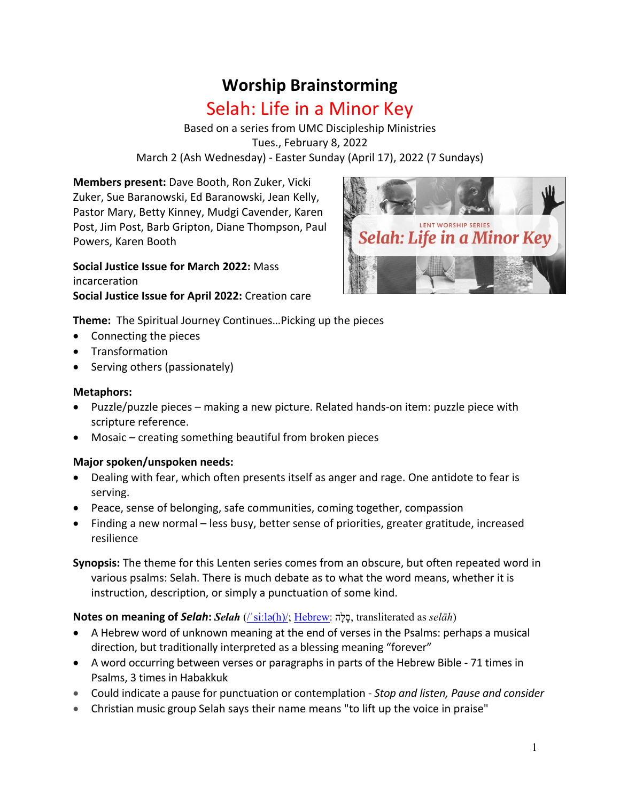# **Worship Brainstorming**

# Selah: Life in a Minor Key

Based on a series from UMC Discipleship Ministries Tues., February 8, 2022 March 2 (Ash Wednesday) - Easter Sunday (April 17), 2022 (7 Sundays)

**Members present:** Dave Booth, Ron Zuker, Vicki Zuker, Sue Baranowski, Ed Baranowski, Jean Kelly, Pastor Mary, Betty Kinney, Mudgi Cavender, Karen Post, Jim Post, Barb Gripton, Diane Thompson, Paul Powers, Karen Booth

**Social Justice Issue for March 2022:** Mass incarceration **Social Justice Issue for April 2022:** Creation care



**Theme:** The Spiritual Journey Continues…Picking up the pieces

- Connecting the pieces
- Transformation
- Serving others (passionately)

#### **Metaphors:**

- Puzzle/puzzle pieces making a new picture. Related hands-on item: puzzle piece with scripture reference.
- Mosaic creating something beautiful from broken pieces

#### **Major spoken/unspoken needs:**

- Dealing with fear, which often presents itself as anger and rage. One antidote to fear is serving.
- Peace, sense of belonging, safe communities, coming together, compassion
- Finding a new normal less busy, better sense of priorities, greater gratitude, increased resilience
- **Synopsis:** The theme for this Lenten series comes from an obscure, but often repeated word in various psalms: Selah. There is much debate as to what the word means, whether it is instruction, description, or simply a punctuation of some kind.

#### **Notes on meaning of** *Selah***:** *Selah* (/ˈsiːlə(h)/; Hebrew: סֶלָה , transliterated as *selāh*)

- A Hebrew word of unknown meaning at the end of verses in the Psalms: perhaps a musical direction, but traditionally interpreted as a blessing meaning "forever"
- A word occurring between verses or paragraphs in parts of the Hebrew Bible 71 times in Psalms, 3 times in Habakkuk
- Could indicate a pause for punctuation or contemplation *Stop and listen, Pause and consider*
- Christian music group Selah says their name means "to lift up the voice in praise"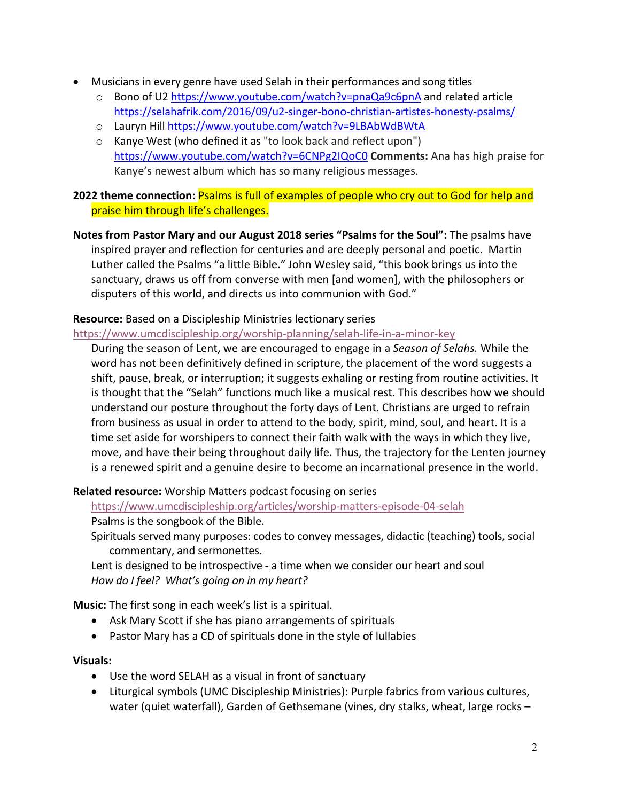- Musicians in every genre have used Selah in their performances and song titles
	- o Bono of U2 https://www.youtube.com/watch?v=pnaQa9c6pnA and related article https://selahafrik.com/2016/09/u2-singer-bono-christian-artistes-honesty-psalms/
	- o Lauryn Hill https://www.youtube.com/watch?v=9LBAbWdBWtA
	- o Kanye West (who defined it as "to look back and reflect upon") https://www.youtube.com/watch?v=6CNPg2IQoC0 **Comments:** Ana has high praise for Kanye's newest album which has so many religious messages.

#### **2022 theme connection:** Psalms is full of examples of people who cry out to God for help and praise him through life's challenges.

**Notes from Pastor Mary and our August 2018 series "Psalms for the Soul":** The psalms have inspired prayer and reflection for centuries and are deeply personal and poetic. Martin Luther called the Psalms "a little Bible." John Wesley said, "this book brings us into the sanctuary, draws us off from converse with men [and women], with the philosophers or disputers of this world, and directs us into communion with God."

#### **Resource:** Based on a Discipleship Ministries lectionary series

https://www.umcdiscipleship.org/worship-planning/selah-life-in-a-minor-key

During the season of Lent, we are encouraged to engage in a *Season of Selahs.* While the word has not been definitively defined in scripture, the placement of the word suggests a shift, pause, break, or interruption; it suggests exhaling or resting from routine activities. It is thought that the "Selah" functions much like a musical rest. This describes how we should understand our posture throughout the forty days of Lent. Christians are urged to refrain from business as usual in order to attend to the body, spirit, mind, soul, and heart. It is a time set aside for worshipers to connect their faith walk with the ways in which they live, move, and have their being throughout daily life. Thus, the trajectory for the Lenten journey is a renewed spirit and a genuine desire to become an incarnational presence in the world.

**Related resource:** Worship Matters podcast focusing on series

https://www.umcdiscipleship.org/articles/worship-matters-episode-04-selah Psalms is the songbook of the Bible.

Spirituals served many purposes: codes to convey messages, didactic (teaching) tools, social commentary, and sermonettes.

Lent is designed to be introspective - a time when we consider our heart and soul *How do I feel? What's going on in my heart?*

**Music:** The first song in each week's list is a spiritual.

- Ask Mary Scott if she has piano arrangements of spirituals
- Pastor Mary has a CD of spirituals done in the style of lullabies

#### **Visuals:**

- Use the word SELAH as a visual in front of sanctuary
- Liturgical symbols (UMC Discipleship Ministries): Purple fabrics from various cultures, water (quiet waterfall), Garden of Gethsemane (vines, dry stalks, wheat, large rocks –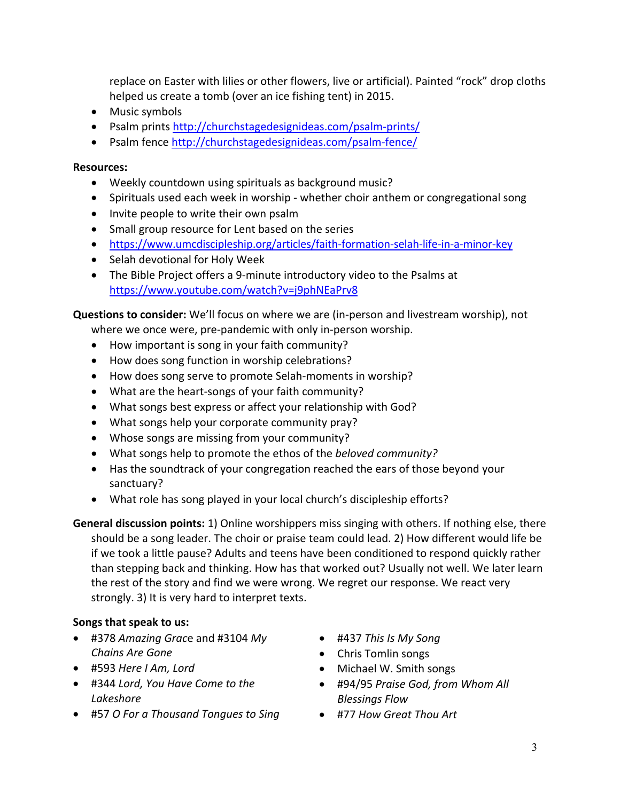replace on Easter with lilies or other flowers, live or artificial). Painted "rock" drop cloths helped us create a tomb (over an ice fishing tent) in 2015.

- Music symbols
- Psalm prints http://churchstagedesignideas.com/psalm-prints/
- Psalm fence http://churchstagedesignideas.com/psalm-fence/

#### **Resources:**

- Weekly countdown using spirituals as background music?
- Spirituals used each week in worship whether choir anthem or congregational song
- Invite people to write their own psalm
- Small group resource for Lent based on the series
- https://www.umcdiscipleship.org/articles/faith-formation-selah-life-in-a-minor-key
- Selah devotional for Holy Week
- The Bible Project offers a 9-minute introductory video to the Psalms at https://www.youtube.com/watch?v=j9phNEaPrv8

**Questions to consider:** We'll focus on where we are (in-person and livestream worship), not

- where we once were, pre-pandemic with only in-person worship.
- How important is song in your faith community?
- How does song function in worship celebrations?
- How does song serve to promote Selah-moments in worship?
- What are the heart-songs of your faith community?
- What songs best express or affect your relationship with God?
- What songs help your corporate community pray?
- Whose songs are missing from your community?
- What songs help to promote the ethos of the *beloved community?*
- Has the soundtrack of your congregation reached the ears of those beyond your sanctuary?
- What role has song played in your local church's discipleship efforts?

**General discussion points:** 1) Online worshippers miss singing with others. If nothing else, there should be a song leader. The choir or praise team could lead. 2) How different would life be if we took a little pause? Adults and teens have been conditioned to respond quickly rather than stepping back and thinking. How has that worked out? Usually not well. We later learn the rest of the story and find we were wrong. We regret our response. We react very strongly. 3) It is very hard to interpret texts.

#### **Songs that speak to us:**

- #378 *Amazing Grac*e and #3104 *My Chains Are Gone*
- #593 *Here I Am, Lord*
- #344 *Lord, You Have Come to the Lakeshore*
- #57 *O For a Thousand Tongues to Sing*
- #437 *This Is My Song*
- Chris Tomlin songs
- Michael W. Smith songs
- #94/95 *Praise God, from Whom All Blessings Flow*
- #77 *How Great Thou Art*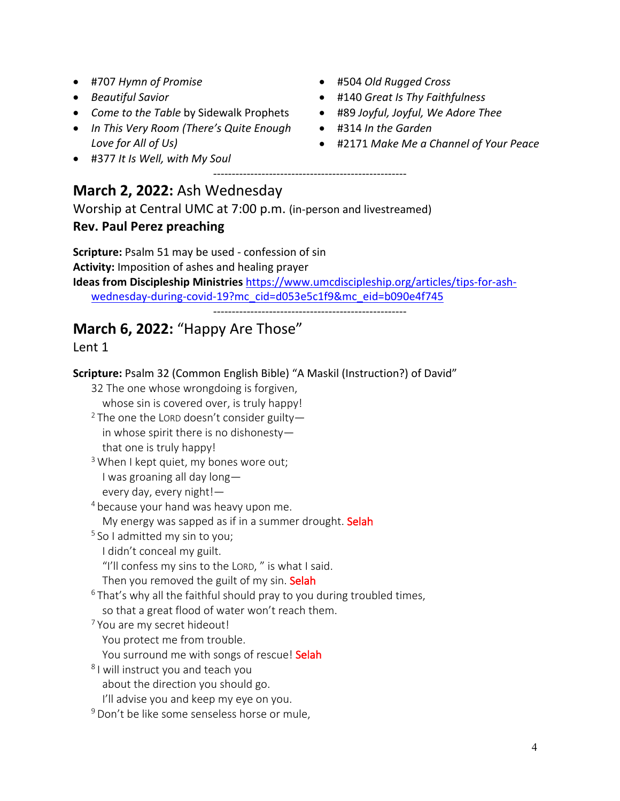- #707 *Hymn of Promise*
- *Beautiful Savior*
- *Come to the Table* by Sidewalk Prophets
- *In This Very Room (There's Quite Enough Love for All of Us)*
- #377 *It Is Well, with My Soul*
- #504 *Old Rugged Cross*
- #140 *Great Is Thy Faithfulness*
- #89 *Joyful, Joyful, We Adore Thee*
- #314 *In the Garden*
- #2171 *Make Me a Channel of Your Peace*

# **March 2, 2022:** Ash Wednesday

Worship at Central UMC at 7:00 p.m. (in-person and livestreamed)

# **Rev. Paul Perez preaching**

**Scripture:** Psalm 51 may be used - confession of sin **Activity:** Imposition of ashes and healing prayer **Ideas from Discipleship Ministries** https://www.umcdiscipleship.org/articles/tips-for-ashwednesday-during-covid-19?mc\_cid=d053e5c1f9&mc\_eid=b090e4f745

----------------------------------------------------

----------------------------------------------------

# **March 6, 2022:** "Happy Are Those"

# Lent 1

**Scripture:** Psalm 32 (Common English Bible) "A Maskil (Instruction?) of David"

32 The one whose wrongdoing is forgiven, whose sin is covered over, is truly happy!

<sup>2</sup> The one the LORD doesn't consider guiltyin whose spirit there is no dishonesty that one is truly happy!

 $3$  When I kept quiet, my bones wore out; I was groaning all day long every day, every night!—

<sup>4</sup> because your hand was heavy upon me.

My energy was sapped as if in a summer drought. Selah

<sup>5</sup> So I admitted my sin to you;

I didn't conceal my guilt.

"I'll confess my sins to the LORD, " is what I said.

Then you removed the guilt of my sin. Selah

 $6$  That's why all the faithful should pray to you during troubled times,

so that a great flood of water won't reach them.

<sup>7</sup> You are my secret hideout!

You protect me from trouble.

You surround me with songs of rescue! Selah

<sup>8</sup> I will instruct you and teach you about the direction you should go.

I'll advise you and keep my eye on you.

<sup>9</sup> Don't be like some senseless horse or mule,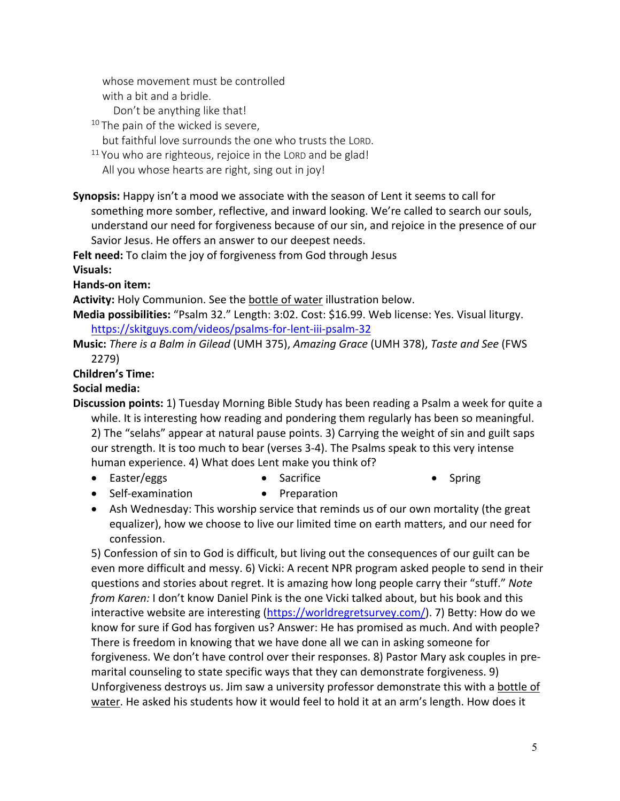whose movement must be controlled with a bit and a bridle.

Don't be anything like that!

<sup>10</sup> The pain of the wicked is severe,

but faithful love surrounds the one who trusts the LORD.

 $11$  You who are righteous, rejoice in the LORD and be glad! All you whose hearts are right, sing out in joy!

**Synopsis:** Happy isn't a mood we associate with the season of Lent it seems to call for something more somber, reflective, and inward looking. We're called to search our souls, understand our need for forgiveness because of our sin, and rejoice in the presence of our Savior Jesus. He offers an answer to our deepest needs.

**Felt need:** To claim the joy of forgiveness from God through Jesus

**Visuals:**

**Hands-on item:**

**Activity:** Holy Communion. See the bottle of water illustration below.

**Media possibilities:** "Psalm 32." Length: 3:02. Cost: \$16.99. Web license: Yes. Visual liturgy. https://skitguys.com/videos/psalms-for-lent-iii-psalm-32

**Music:** *There is a Balm in Gilead* (UMH 375), *Amazing Grace* (UMH 378), *Taste and See* (FWS 2279)

# **Children's Time:**

# **Social media:**

**Discussion points:** 1) Tuesday Morning Bible Study has been reading a Psalm a week for quite a while. It is interesting how reading and pondering them regularly has been so meaningful. 2) The "selahs" appear at natural pause points. 3) Carrying the weight of sin and guilt saps our strength. It is too much to bear (verses 3-4). The Psalms speak to this very intense human experience. 4) What does Lent make you think of?

- Easter/eggs **Sacrifice** • Spring
- Self-examination • Preparation
- Ash Wednesday: This worship service that reminds us of our own mortality (the great equalizer), how we choose to live our limited time on earth matters, and our need for confession.

5) Confession of sin to God is difficult, but living out the consequences of our guilt can be even more difficult and messy. 6) Vicki: A recent NPR program asked people to send in their questions and stories about regret. It is amazing how long people carry their "stuff." *Note from Karen:* I don't know Daniel Pink is the one Vicki talked about, but his book and this interactive website are interesting (https://worldregretsurvey.com/). 7) Betty: How do we know for sure if God has forgiven us? Answer: He has promised as much. And with people? There is freedom in knowing that we have done all we can in asking someone for forgiveness. We don't have control over their responses. 8) Pastor Mary ask couples in premarital counseling to state specific ways that they can demonstrate forgiveness. 9) Unforgiveness destroys us. Jim saw a university professor demonstrate this with a bottle of water. He asked his students how it would feel to hold it at an arm's length. How does it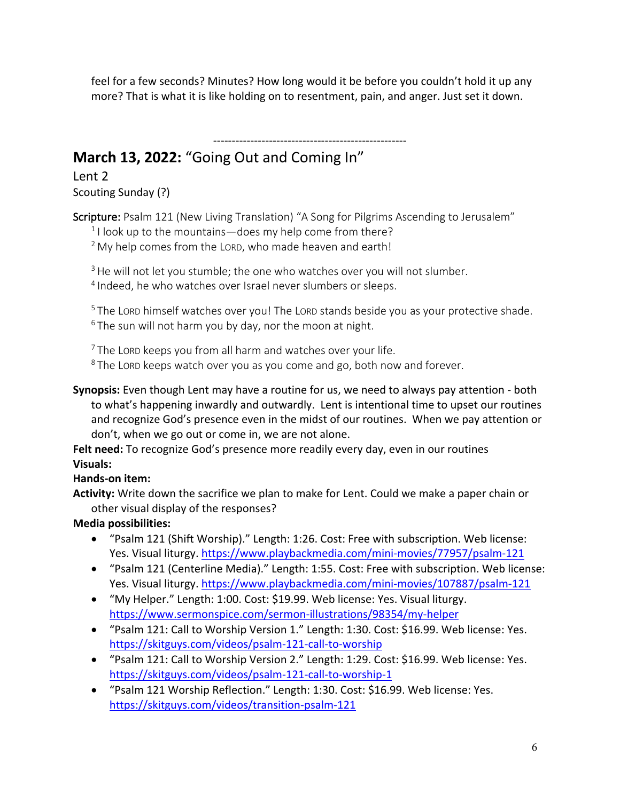feel for a few seconds? Minutes? How long would it be before you couldn't hold it up any more? That is what it is like holding on to resentment, pain, and anger. Just set it down.

# ---------------------------------------------------- **March 13, 2022:** "Going Out and Coming In"

Lent 2 Scouting Sunday (?)

Scripture: Psalm 121 (New Living Translation) "A Song for Pilgrims Ascending to Jerusalem"

 $1$ I look up to the mountains—does my help come from there?

 $2$  My help comes from the LORD, who made heaven and earth!

<sup>3</sup> He will not let you stumble; the one who watches over you will not slumber. <sup>4</sup> Indeed, he who watches over Israel never slumbers or sleeps.

<sup>5</sup> The LORD himself watches over you! The LORD stands beside you as your protective shade.  $6$  The sun will not harm you by day, nor the moon at night.

 $7$  The LORD keeps you from all harm and watches over your life.

<sup>8</sup> The LORD keeps watch over you as you come and go, both now and forever.

**Synopsis:** Even though Lent may have a routine for us, we need to always pay attention - both to what's happening inwardly and outwardly. Lent is intentional time to upset our routines and recognize God's presence even in the midst of our routines. When we pay attention or don't, when we go out or come in, we are not alone.

**Felt need:** To recognize God's presence more readily every day, even in our routines **Visuals:**

# **Hands-on item:**

**Activity:** Write down the sacrifice we plan to make for Lent. Could we make a paper chain or other visual display of the responses?

# **Media possibilities:**

- "Psalm 121 (Shift Worship)." Length: 1:26. Cost: Free with subscription. Web license: Yes. Visual liturgy. https://www.playbackmedia.com/mini-movies/77957/psalm-121
- "Psalm 121 (Centerline Media)." Length: 1:55. Cost: Free with subscription. Web license: Yes. Visual liturgy. https://www.playbackmedia.com/mini-movies/107887/psalm-121
- "My Helper." Length: 1:00. Cost: \$19.99. Web license: Yes. Visual liturgy. https://www.sermonspice.com/sermon-illustrations/98354/my-helper
- "Psalm 121: Call to Worship Version 1." Length: 1:30. Cost: \$16.99. Web license: Yes. https://skitguys.com/videos/psalm-121-call-to-worship
- "Psalm 121: Call to Worship Version 2." Length: 1:29. Cost: \$16.99. Web license: Yes. https://skitguys.com/videos/psalm-121-call-to-worship-1
- "Psalm 121 Worship Reflection." Length: 1:30. Cost: \$16.99. Web license: Yes. https://skitguys.com/videos/transition-psalm-121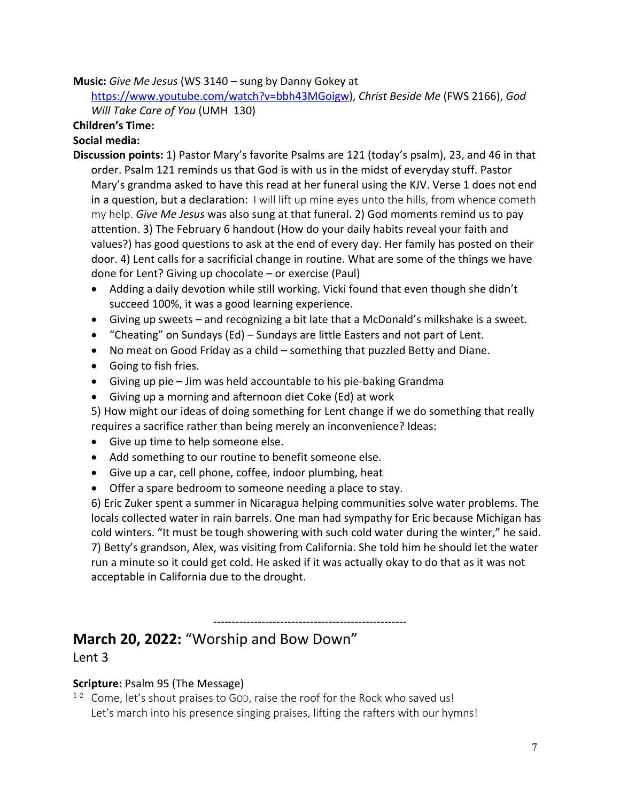#### **Music:** *Give Me Jesus* (WS 3140 – sung by Danny Gokey at

https://www.youtube.com/watch?v=bbh43MGoigw), *Christ Beside Me* (FWS 2166), *God Will Take Care of You* (UMH 130)

#### **Children's Time:**

#### **Social media:**

- **Discussion points:** 1) Pastor Mary's favorite Psalms are 121 (today's psalm), 23, and 46 in that order. Psalm 121 reminds us that God is with us in the midst of everyday stuff. Pastor Mary's grandma asked to have this read at her funeral using the KJV. Verse 1 does not end in a question, but a declaration: I will lift up mine eyes unto the hills, from whence cometh my help. *Give Me Jesus* was also sung at that funeral. 2) God moments remind us to pay attention. 3) The February 6 handout (How do your daily habits reveal your faith and values?) has good questions to ask at the end of every day. Her family has posted on their door. 4) Lent calls for a sacrificial change in routine. What are some of the things we have done for Lent? Giving up chocolate – or exercise (Paul)
	- Adding a daily devotion while still working. Vicki found that even though she didn't succeed 100%, it was a good learning experience.
	- Giving up sweets and recognizing a bit late that a McDonald's milkshake is a sweet.
	- "Cheating" on Sundays (Ed) Sundays are little Easters and not part of Lent.
	- No meat on Good Friday as a child something that puzzled Betty and Diane.
	- Going to fish fries.
	- Giving up pie Jim was held accountable to his pie-baking Grandma
	- Giving up a morning and afternoon diet Coke (Ed) at work
	- 5) How might our ideas of doing something for Lent change if we do something that really requires a sacrifice rather than being merely an inconvenience? Ideas:
	- Give up time to help someone else.
	- Add something to our routine to benefit someone else.
	- Give up a car, cell phone, coffee, indoor plumbing, heat
	- Offer a spare bedroom to someone needing a place to stay.

6) Eric Zuker spent a summer in Nicaragua helping communities solve water problems. The locals collected water in rain barrels. One man had sympathy for Eric because Michigan has cold winters. "It must be tough showering with such cold water during the winter," he said. 7) Betty's grandson, Alex, was visiting from California. She told him he should let the water run a minute so it could get cold. He asked if it was actually okay to do that as it was not acceptable in California due to the drought.

----------------------------------------------------

# **March 20, 2022:** "Worship and Bow Down" Lent 3

# **Scripture:** Psalm 95 (The Message)

<sup>1-2</sup> Come, let's shout praises to GOD, raise the roof for the Rock who saved us! Let's march into his presence singing praises, lifting the rafters with our hymns!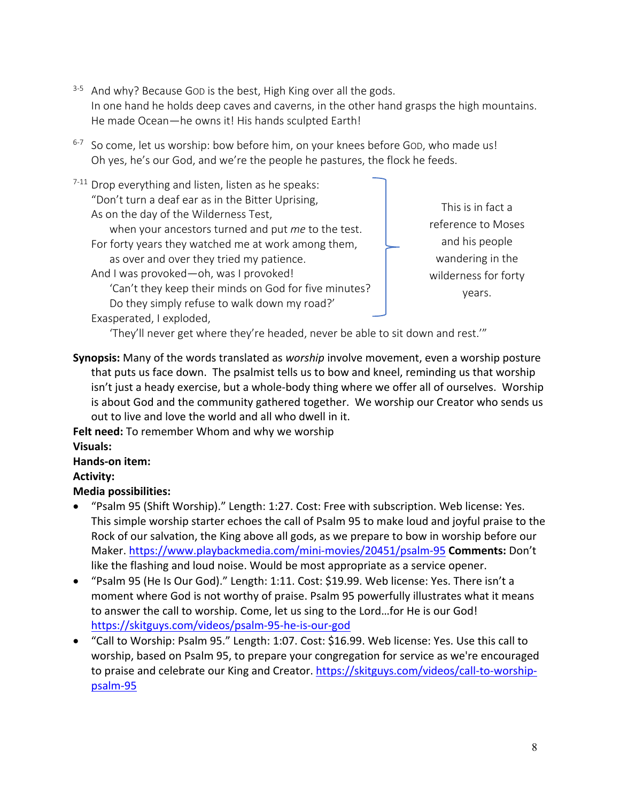- <sup>3-5</sup> And why? Because GOD is the best, High King over all the gods. In one hand he holds deep caves and caverns, in the other hand grasps the high mountains. He made Ocean—he owns it! His hands sculpted Earth!
- <sup>6-7</sup> So come, let us worship: bow before him, on your knees before GOD, who made us! Oh yes, he's our God, and we're the people he pastures, the flock he feeds.
- $7-11$  Drop everything and listen, listen as he speaks: "Don't turn a deaf ear as in the Bitter Uprising, As on the day of the Wilderness Test, when your ancestors turned and put *me* to the test. For forty years they watched me at work among them, as over and over they tried my patience. And I was provoked—oh, was I provoked! 'Can't they keep their minds on God for five minutes? Do they simply refuse to walk down my road?'

This is in fact a reference to Moses and his people wandering in the wilderness for forty years.

Exasperated, I exploded,

'They'll never get where they're headed, never be able to sit down and rest.'"

**Synopsis:** Many of the words translated as *worship* involve movement, even a worship posture that puts us face down. The psalmist tells us to bow and kneel, reminding us that worship isn't just a heady exercise, but a whole-body thing where we offer all of ourselves. Worship is about God and the community gathered together. We worship our Creator who sends us out to live and love the world and all who dwell in it.

**Felt need:** To remember Whom and why we worship

# **Visuals:**

# **Hands-on item:**

**Activity:**

# **Media possibilities:**

- "Psalm 95 (Shift Worship)." Length: 1:27. Cost: Free with subscription. Web license: Yes. This simple worship starter echoes the call of Psalm 95 to make loud and joyful praise to the Rock of our salvation, the King above all gods, as we prepare to bow in worship before our Maker. https://www.playbackmedia.com/mini-movies/20451/psalm-95 **Comments:** Don't like the flashing and loud noise. Would be most appropriate as a service opener.
- "Psalm 95 (He Is Our God)." Length: 1:11. Cost: \$19.99. Web license: Yes. There isn't a moment where God is not worthy of praise. Psalm 95 powerfully illustrates what it means to answer the call to worship. Come, let us sing to the Lord…for He is our God! https://skitguys.com/videos/psalm-95-he-is-our-god
- "Call to Worship: Psalm 95." Length: 1:07. Cost: \$16.99. Web license: Yes. Use this call to worship, based on Psalm 95, to prepare your congregation for service as we're encouraged to praise and celebrate our King and Creator. https://skitguys.com/videos/call-to-worshippsalm-95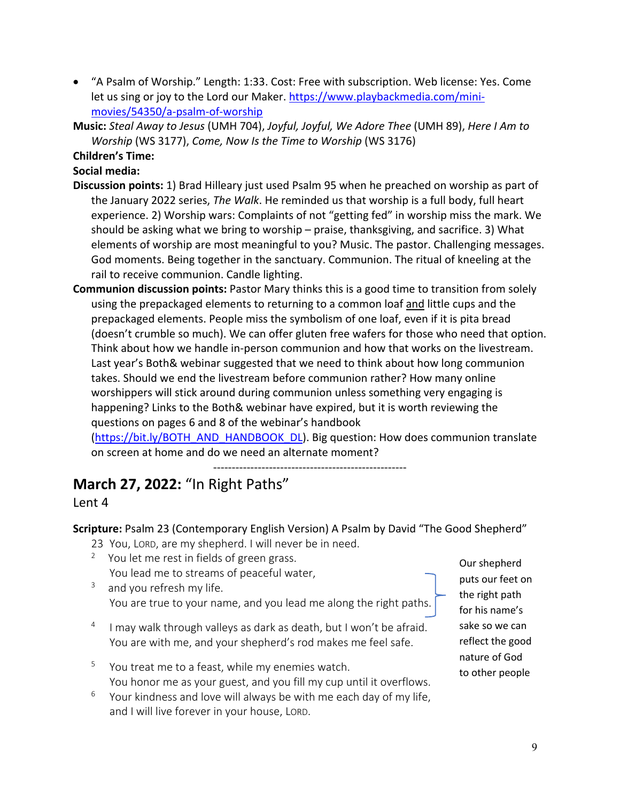- "A Psalm of Worship." Length: 1:33. Cost: Free with subscription. Web license: Yes. Come let us sing or joy to the Lord our Maker. https://www.playbackmedia.com/minimovies/54350/a-psalm-of-worship
- **Music:** *Steal Away to Jesus* (UMH 704), *Joyful, Joyful, We Adore Thee* (UMH 89), *Here I Am to Worship* (WS 3177), *Come, Now Is the Time to Worship* (WS 3176)

**Children's Time:** 

**Social media:**

- **Discussion points:** 1) Brad Hilleary just used Psalm 95 when he preached on worship as part of the January 2022 series, *The Walk*. He reminded us that worship is a full body, full heart experience. 2) Worship wars: Complaints of not "getting fed" in worship miss the mark. We should be asking what we bring to worship – praise, thanksgiving, and sacrifice. 3) What elements of worship are most meaningful to you? Music. The pastor. Challenging messages. God moments. Being together in the sanctuary. Communion. The ritual of kneeling at the rail to receive communion. Candle lighting.
- **Communion discussion points:** Pastor Mary thinks this is a good time to transition from solely using the prepackaged elements to returning to a common loaf and little cups and the prepackaged elements. People miss the symbolism of one loaf, even if it is pita bread (doesn't crumble so much). We can offer gluten free wafers for those who need that option. Think about how we handle in-person communion and how that works on the livestream. Last year's Both& webinar suggested that we need to think about how long communion takes. Should we end the livestream before communion rather? How many online worshippers will stick around during communion unless something very engaging is happening? Links to the Both& webinar have expired, but it is worth reviewing the questions on pages 6 and 8 of the webinar's handbook

(https://bit.ly/BOTH\_AND\_HANDBOOK\_DL). Big question: How does communion translate on screen at home and do we need an alternate moment?

---------------------------------------------------- **March 27, 2022:** "In Right Paths"

#### Lent 4

**Scripture:** Psalm 23 (Contemporary English Version) A Psalm by David "The Good Shepherd"

- 23 You, LORD, are my shepherd. I will never be in need.
- <sup>2</sup> You let me rest in fields of green grass. You lead me to streams of peaceful water,
- $3$  and you refresh my life. You are true to your name, and you lead me along the right paths.
- $4$  I may walk through valleys as dark as death, but I won't be afraid. You are with me, and your shepherd's rod makes me feel safe.
- <sup>5</sup> You treat me to a feast, while my enemies watch. You honor me as your guest, and you fill my cup until it overflows.
- $6$  Your kindness and love will always be with me each day of my life, and I will live forever in your house, LORD.

Our shepherd puts our feet on the right path for his name's sake so we can reflect the good nature of God to other people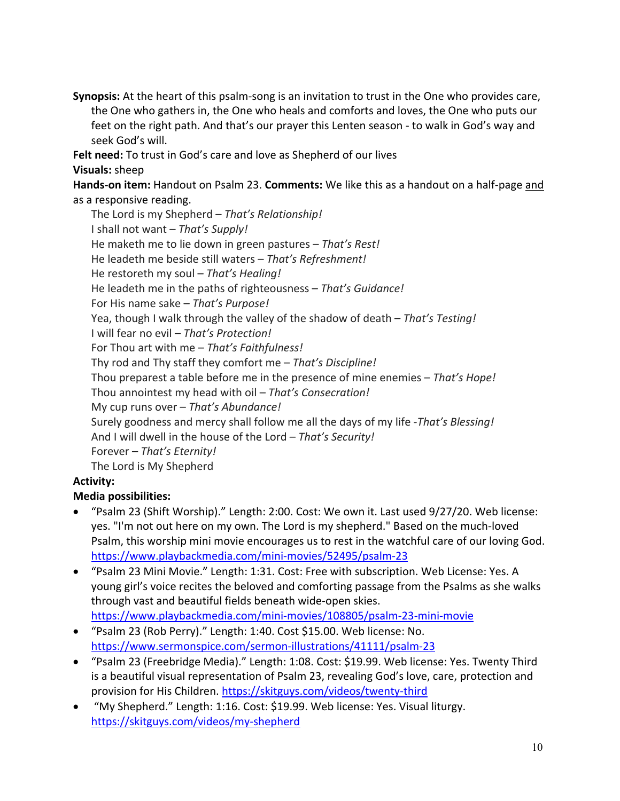**Synopsis:** At the heart of this psalm-song is an invitation to trust in the One who provides care, the One who gathers in, the One who heals and comforts and loves, the One who puts our feet on the right path. And that's our prayer this Lenten season - to walk in God's way and seek God's will.

**Felt need:** To trust in God's care and love as Shepherd of our lives **Visuals:** sheep

**Hands-on item:** Handout on Psalm 23. **Comments:** We like this as a handout on a half-page and as a responsive reading.

The Lord is my Shepherd – *That's Relationship!* I shall not want – *That's Supply!* He maketh me to lie down in green pastures – *That's Rest!* He leadeth me beside still waters – *That's Refreshment!* He restoreth my soul – *That's Healing!* He leadeth me in the paths of righteousness – *That's Guidance!* For His name sake – *That's Purpose!* Yea, though I walk through the valley of the shadow of death – *That's Testing!* I will fear no evil – *That's Protection!* For Thou art with me – *That's Faithfulness!* Thy rod and Thy staff they comfort me – *That's Discipline!* Thou preparest a table before me in the presence of mine enemies – *That's Hope!* Thou annointest my head with oil – *That's Consecration!* My cup runs over – *That's Abundance!* Surely goodness and mercy shall follow me all the days of my life -*That's Blessing!* And I will dwell in the house of the Lord – *That's Security!* Forever – *That's Eternity!* The Lord is My Shepherd

# **Activity:**

# **Media possibilities:**

- "Psalm 23 (Shift Worship)." Length: 2:00. Cost: We own it. Last used 9/27/20. Web license: yes. "I'm not out here on my own. The Lord is my shepherd." Based on the much-loved Psalm, this worship mini movie encourages us to rest in the watchful care of our loving God. https://www.playbackmedia.com/mini-movies/52495/psalm-23
- "Psalm 23 Mini Movie." Length: 1:31. Cost: Free with subscription. Web License: Yes. A young girl's voice recites the beloved and comforting passage from the Psalms as she walks through vast and beautiful fields beneath wide-open skies. https://www.playbackmedia.com/mini-movies/108805/psalm-23-mini-movie
- "Psalm 23 (Rob Perry)." Length: 1:40. Cost \$15.00. Web license: No. https://www.sermonspice.com/sermon-illustrations/41111/psalm-23
- "Psalm 23 (Freebridge Media)." Length: 1:08. Cost: \$19.99. Web license: Yes. Twenty Third is a beautiful visual representation of Psalm 23, revealing God's love, care, protection and provision for His Children. https://skitguys.com/videos/twenty-third
- "My Shepherd." Length: 1:16. Cost: \$19.99. Web license: Yes. Visual liturgy. https://skitguys.com/videos/my-shepherd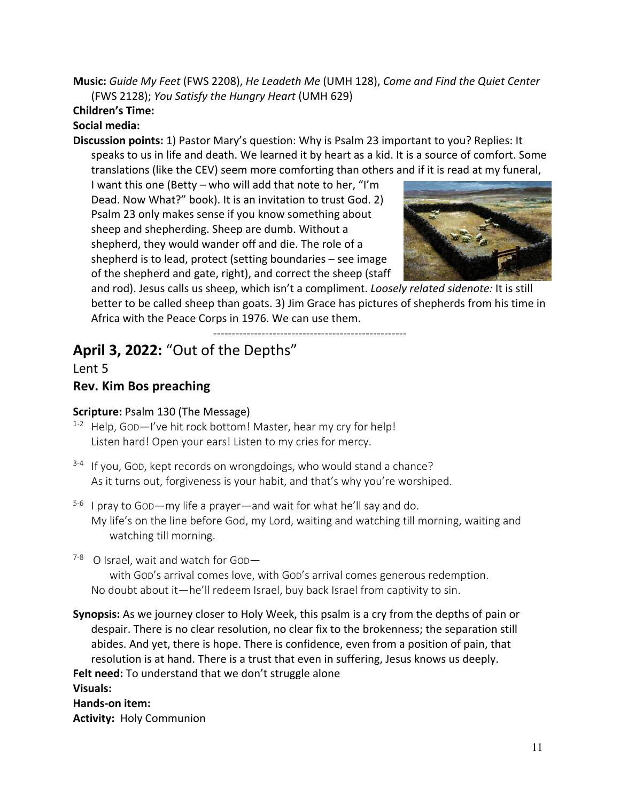**Music:** *Guide My Feet* (FWS 2208), *He Leadeth Me* (UMH 128), *Come and Find the Quiet Center* (FWS 2128); *You Satisfy the Hungry Heart* (UMH 629)

# **Children's Time:**

# **Social media:**

**Discussion points:** 1) Pastor Mary's question: Why is Psalm 23 important to you? Replies: It speaks to us in life and death. We learned it by heart as a kid. It is a source of comfort. Some translations (like the CEV) seem more comforting than others and if it is read at my funeral,

I want this one (Betty – who will add that note to her, "I'm Dead. Now What?" book). It is an invitation to trust God. 2) Psalm 23 only makes sense if you know something about sheep and shepherding. Sheep are dumb. Without a shepherd, they would wander off and die. The role of a shepherd is to lead, protect (setting boundaries – see image of the shepherd and gate, right), and correct the sheep (staff



and rod). Jesus calls us sheep, which isn't a compliment. *Loosely related sidenote:* It is still better to be called sheep than goats. 3) Jim Grace has pictures of shepherds from his time in Africa with the Peace Corps in 1976. We can use them.

----------------------------------------------------

# **April 3, 2022:** "Out of the Depths"

Lent 5

# **Rev. Kim Bos preaching**

# **Scripture:** Psalm 130 (The Message)

- <sup>1-2</sup> Help, God-I've hit rock bottom! Master, hear my cry for help! Listen hard! Open your ears! Listen to my cries for mercy.
- $3-4$  If you, God, kept records on wrongdoings, who would stand a chance? As it turns out, forgiveness is your habit, and that's why you're worshiped.
- $5-6$  I pray to GOD—my life a prayer—and wait for what he'll say and do. My life's on the line before God, my Lord, waiting and watching till morning, waiting and watching till morning.
- $7-8$  O Israel, wait and watch for God-

with GOD's arrival comes love, with GOD's arrival comes generous redemption. No doubt about it—he'll redeem Israel, buy back Israel from captivity to sin.

**Synopsis:** As we journey closer to Holy Week, this psalm is a cry from the depths of pain or despair. There is no clear resolution, no clear fix to the brokenness; the separation still abides. And yet, there is hope. There is confidence, even from a position of pain, that resolution is at hand. There is a trust that even in suffering, Jesus knows us deeply. **Felt need:** To understand that we don't struggle alone **Visuals: Hands-on item: Activity:** Holy Communion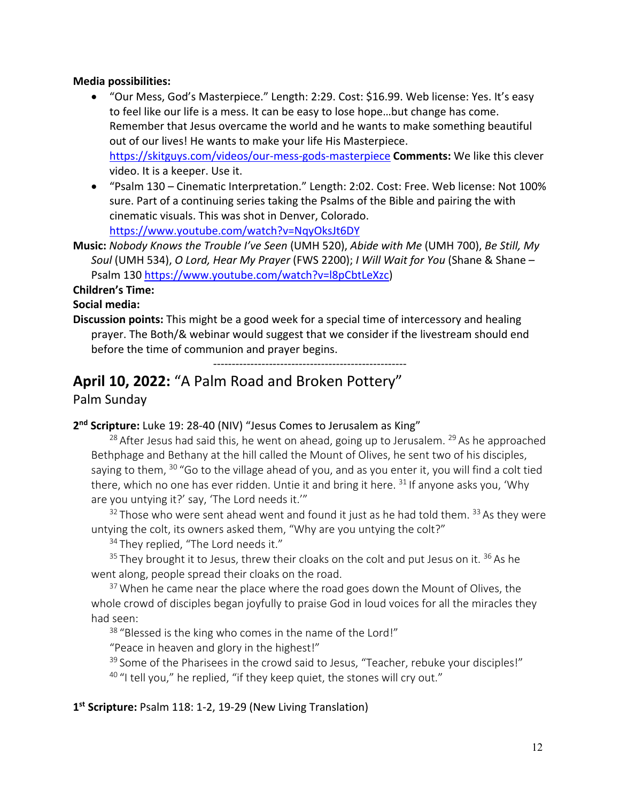#### **Media possibilities:**

- "Our Mess, God's Masterpiece." Length: 2:29. Cost: \$16.99. Web license: Yes. It's easy to feel like our life is a mess. It can be easy to lose hope…but change has come. Remember that Jesus overcame the world and he wants to make something beautiful out of our lives! He wants to make your life His Masterpiece. https://skitguys.com/videos/our-mess-gods-masterpiece **Comments:** We like this clever video. It is a keeper. Use it.
- "Psalm 130 Cinematic Interpretation." Length: 2:02. Cost: Free. Web license: Not 100% sure. Part of a continuing series taking the Psalms of the Bible and pairing the with cinematic visuals. This was shot in Denver, Colorado. https://www.youtube.com/watch?v=NqyOksJt6DY
- **Music:** *Nobody Knows the Trouble I've Seen* (UMH 520), *Abide with Me* (UMH 700), *Be Still, My Soul* (UMH 534), *O Lord, Hear My Prayer* (FWS 2200); *I Will Wait for You* (Shane & Shane – Psalm 130 https://www.youtube.com/watch?v=l8pCbtLeXzc)

#### **Children's Time:**

#### **Social media:**

**Discussion points:** This might be a good week for a special time of intercessory and healing prayer. The Both/& webinar would suggest that we consider if the livestream should end before the time of communion and prayer begins.

----------------------------------------------------

# **April 10, 2022:** "A Palm Road and Broken Pottery"

#### Palm Sunday

#### **2nd Scripture:** Luke 19: 28-40 (NIV) "Jesus Comes to Jerusalem as King"

<sup>28</sup> After Jesus had said this, he went on ahead, going up to Jerusalem. <sup>29</sup> As he approached Bethphage and Bethany at the hill called the Mount of Olives, he sent two of his disciples, saying to them, <sup>30</sup> "Go to the village ahead of you, and as you enter it, you will find a colt tied there, which no one has ever ridden. Untie it and bring it here.  $31$  If anyone asks you, 'Why are you untying it?' say, 'The Lord needs it.'"

 $32$  Those who were sent ahead went and found it just as he had told them.  $33$  As they were untying the colt, its owners asked them, "Why are you untying the colt?"

<sup>34</sup> They replied, "The Lord needs it."

 $35$  They brought it to Jesus, threw their cloaks on the colt and put Jesus on it.  $36$  As he went along, people spread their cloaks on the road.

 $37$  When he came near the place where the road goes down the Mount of Olives, the whole crowd of disciples began joyfully to praise God in loud voices for all the miracles they had seen:

<sup>38</sup> "Blessed is the king who comes in the name of the Lord!"

"Peace in heaven and glory in the highest!"

<sup>39</sup> Some of the Pharisees in the crowd said to Jesus, "Teacher, rebuke your disciples!"  $40$  "I tell you," he replied, "if they keep quiet, the stones will cry out."

**1st Scripture:** Psalm 118: 1-2, 19-29 (New Living Translation)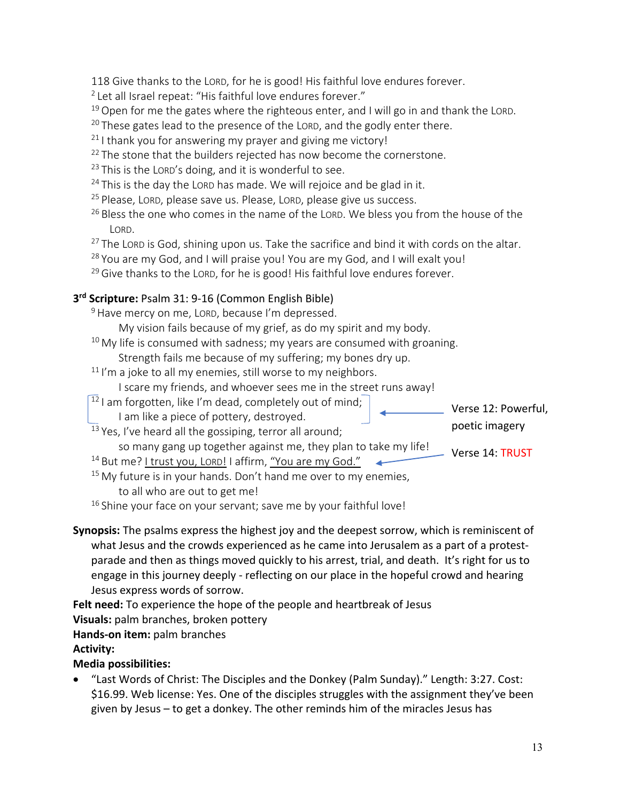118 Give thanks to the LORD, for he is good! His faithful love endures forever.

<sup>2</sup> Let all Israel repeat: "His faithful love endures forever."

 $19$  Open for me the gates where the righteous enter, and I will go in and thank the LORD.

 $20$  These gates lead to the presence of the LORD, and the godly enter there.

 $21$  I thank you for answering my prayer and giving me victory!

- <sup>22</sup> The stone that the builders rejected has now become the cornerstone.
- $23$  This is the LORD's doing, and it is wonderful to see.
- $24$  This is the day the LORD has made. We will rejoice and be glad in it.
- <sup>25</sup> Please, LORD, please save us. Please, LORD, please give us success.
- <sup>26</sup> Bless the one who comes in the name of the LORD. We bless you from the house of the LORD.
- $27$  The LORD is God, shining upon us. Take the sacrifice and bind it with cords on the altar.
- $28$  You are my God, and I will praise you! You are my God, and I will exalt you!
- $29$  Give thanks to the LORD, for he is good! His faithful love endures forever.

# **3rd Scripture:** Psalm 31: 9-16 (Common English Bible)

<sup>9</sup> Have mercy on me, LORD, because I'm depressed.

My vision fails because of my grief, as do my spirit and my body.

 $10$  My life is consumed with sadness; my years are consumed with groaning.

Strength fails me because of my suffering; my bones dry up.

 $11$  I'm a joke to all my enemies, still worse to my neighbors.

I scare my friends, and whoever sees me in the street runs away!

 $12$  I am forgotten, like I'm dead, completely out of mind;

<sup>13</sup> Yes, I've heard all the gossiping, terror all around;

I am like a piece of pottery, destroyed.

- Verse 12: Powerful, poetic imagery
- so many gang up together against me, they plan to take my life! Verse 14: TRUST
- <sup>14</sup> But me? I trust you, LORD! I affirm, "You are my God."
- $15$  My future is in your hands. Don't hand me over to my enemies,

to all who are out to get me!

 $16$  Shine your face on your servant; save me by your faithful love!

**Synopsis:** The psalms express the highest joy and the deepest sorrow, which is reminiscent of what Jesus and the crowds experienced as he came into Jerusalem as a part of a protestparade and then as things moved quickly to his arrest, trial, and death. It's right for us to engage in this journey deeply - reflecting on our place in the hopeful crowd and hearing Jesus express words of sorrow.

**Felt need:** To experience the hope of the people and heartbreak of Jesus

**Visuals:** palm branches, broken pottery

**Hands-on item:** palm branches

# **Activity:**

# **Media possibilities:**

• "Last Words of Christ: The Disciples and the Donkey (Palm Sunday)." Length: 3:27. Cost: \$16.99. Web license: Yes. One of the disciples struggles with the assignment they've been given by Jesus – to get a donkey. The other reminds him of the miracles Jesus has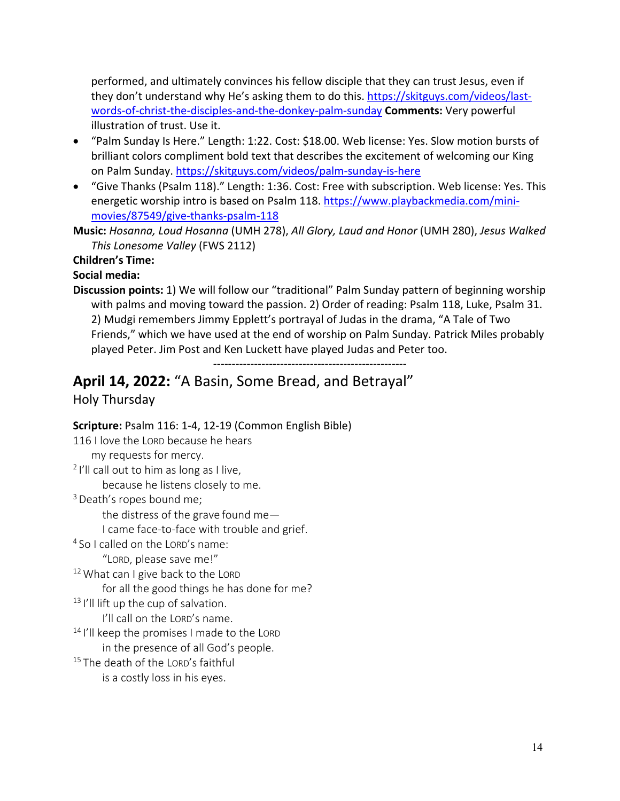performed, and ultimately convinces his fellow disciple that they can trust Jesus, even if they don't understand why He's asking them to do this. https://skitguys.com/videos/lastwords-of-christ-the-disciples-and-the-donkey-palm-sunday **Comments:** Very powerful illustration of trust. Use it.

- "Palm Sunday Is Here." Length: 1:22. Cost: \$18.00. Web license: Yes. Slow motion bursts of brilliant colors compliment bold text that describes the excitement of welcoming our King on Palm Sunday. https://skitguys.com/videos/palm-sunday-is-here
- "Give Thanks (Psalm 118)." Length: 1:36. Cost: Free with subscription. Web license: Yes. This energetic worship intro is based on Psalm 118. https://www.playbackmedia.com/minimovies/87549/give-thanks-psalm-118

**Music:** *Hosanna, Loud Hosanna* (UMH 278), *All Glory, Laud and Honor* (UMH 280), *Jesus Walked This Lonesome Valley* (FWS 2112)

**Children's Time:** 

#### **Social media:**

**Discussion points:** 1) We will follow our "traditional" Palm Sunday pattern of beginning worship with palms and moving toward the passion. 2) Order of reading: Psalm 118, Luke, Psalm 31. 2) Mudgi remembers Jimmy Epplett's portrayal of Judas in the drama, "A Tale of Two Friends," which we have used at the end of worship on Palm Sunday. Patrick Miles probably played Peter. Jim Post and Ken Luckett have played Judas and Peter too.

----------------------------------------------------

# **April 14, 2022:** "A Basin, Some Bread, and Betrayal"

# Holy Thursday

# **Scripture:** Psalm 116: 1-4, 12-19 (Common English Bible)

116 I love the LORD because he hears my requests for mercy.  $2$  I'll call out to him as long as I live, because he listens closely to me. <sup>3</sup> Death's ropes bound me; the distress of the grave found me— I came face-to-face with trouble and grief. <sup>4</sup> So I called on the LORD's name: "LORD, please save me!" <sup>12</sup> What can I give back to the LORD for all the good things he has done for me? <sup>13</sup> I'll lift up the cup of salvation. I'll call on the LORD's name. <sup>14</sup> I'll keep the promises I made to the LORD in the presence of all God's people. <sup>15</sup> The death of the LORD's faithful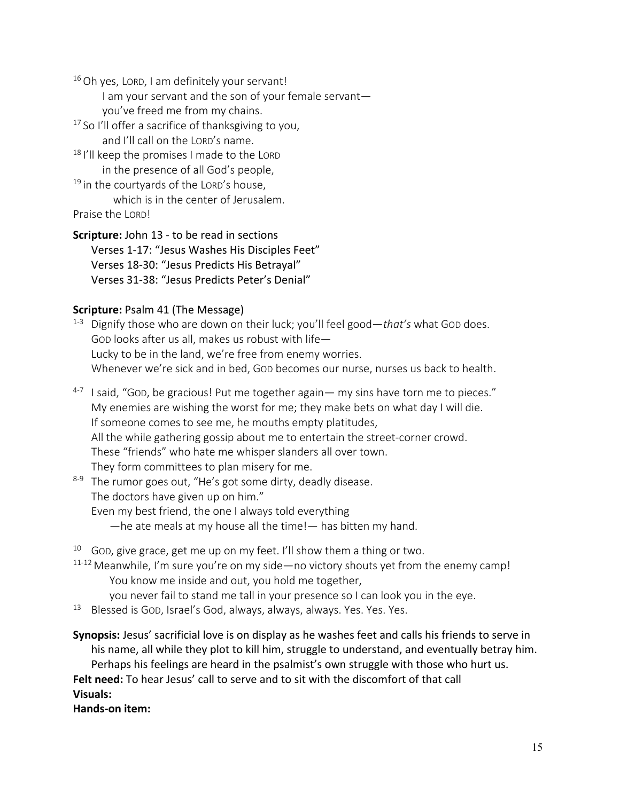$16$  Oh yes, LORD, I am definitely your servant!

I am your servant and the son of your female servant you've freed me from my chains.

<sup>17</sup> So I'll offer a sacrifice of thanksgiving to you, and I'll call on the LORD's name.

18 I'll keep the promises I made to the LORD in the presence of all God's people,

 $19$  in the courtvards of the LORD's house. which is in the center of Jerusalem.

Praise the LORD!

**Scripture:** John 13 - to be read in sections Verses 1-17: "Jesus Washes His Disciples Feet" Verses 18-30: "Jesus Predicts His Betrayal" Verses 31-38: "Jesus Predicts Peter's Denial"

#### **Scripture: Psalm 41 (The Message)**

- 1-3 Dignify those who are down on their luck; you'll feel good—*that's* what GOD does. GOD looks after us all, makes us robust with life— Lucky to be in the land, we're free from enemy worries. Whenever we're sick and in bed, Gop becomes our nurse, nurses us back to health.
- $4-7$  I said, "GOD, be gracious! Put me together again— my sins have torn me to pieces." My enemies are wishing the worst for me; they make bets on what day I will die. If someone comes to see me, he mouths empty platitudes, All the while gathering gossip about me to entertain the street-corner crowd. These "friends" who hate me whisper slanders all over town. They form committees to plan misery for me.
- $8-9$  The rumor goes out, "He's got some dirty, deadly disease. The doctors have given up on him." Even my best friend, the one I always told everything —he ate meals at my house all the time!— has bitten my hand.

 $10$  God, give grace, get me up on my feet. I'll show them a thing or two.

- 11-12 Meanwhile, I'm sure you're on my side—no victory shouts yet from the enemy camp! You know me inside and out, you hold me together,
	- you never fail to stand me tall in your presence so I can look you in the eye.
- <sup>13</sup> Blessed is GOD, Israel's God, always, always, always. Yes. Yes. Yes.

**Synopsis:** Jesus' sacrificial love is on display as he washes feet and calls his friends to serve in his name, all while they plot to kill him, struggle to understand, and eventually betray him. Perhaps his feelings are heard in the psalmist's own struggle with those who hurt us. **Felt need:** To hear Jesus' call to serve and to sit with the discomfort of that call **Visuals:**

**Hands-on item:**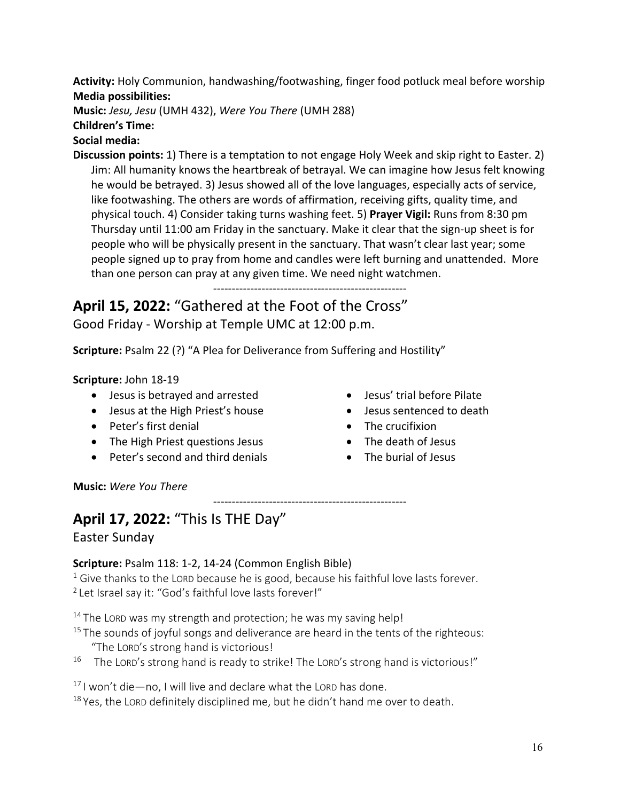**Activity:** Holy Communion, handwashing/footwashing, finger food potluck meal before worship **Media possibilities:**

**Music:** *Jesu, Jesu* (UMH 432), *Were You There* (UMH 288)

#### **Children's Time:**

# **Social media:**

**Discussion points:** 1) There is a temptation to not engage Holy Week and skip right to Easter. 2) Jim: All humanity knows the heartbreak of betrayal. We can imagine how Jesus felt knowing he would be betrayed. 3) Jesus showed all of the love languages, especially acts of service, like footwashing. The others are words of affirmation, receiving gifts, quality time, and physical touch. 4) Consider taking turns washing feet. 5) **Prayer Vigil:** Runs from 8:30 pm Thursday until 11:00 am Friday in the sanctuary. Make it clear that the sign-up sheet is for people who will be physically present in the sanctuary. That wasn't clear last year; some people signed up to pray from home and candles were left burning and unattended. More than one person can pray at any given time. We need night watchmen.

----------------------------------------------------

**April 15, 2022:** "Gathered at the Foot of the Cross" Good Friday - Worship at Temple UMC at 12:00 p.m.

**Scripture:** Psalm 22 (?) "A Plea for Deliverance from Suffering and Hostility"

# **Scripture:** John 18-19

- Jesus is betrayed and arrested
- Jesus at the High Priest's house
- Peter's first denial
- The High Priest questions Jesus
- Peter's second and third denials
- Jesus' trial before Pilate
- Jesus sentenced to death
- The crucifixion
- The death of Jesus
- The burial of Jesus

**Music:** *Were You There*

# ---------------------------------------------------- **April 17, 2022:** "This Is THE Day" Easter Sunday

**Scripture:** Psalm 118: 1-2, 14-24 (Common English Bible)  $1$  Give thanks to the LORD because he is good, because his faithful love lasts forever. <sup>2</sup> Let Israel say it: "God's faithful love lasts forever!"

 $14$  The LORD was my strength and protection; he was my saving help!

- $15$  The sounds of joyful songs and deliverance are heard in the tents of the righteous: "The LORD's strong hand is victorious!
- <sup>16</sup> The LORD's strong hand is ready to strike! The LORD's strong hand is victorious!"

 $17$  I won't die—no, I will live and declare what the LORD has done.

 $18$  Yes, the LORD definitely disciplined me, but he didn't hand me over to death.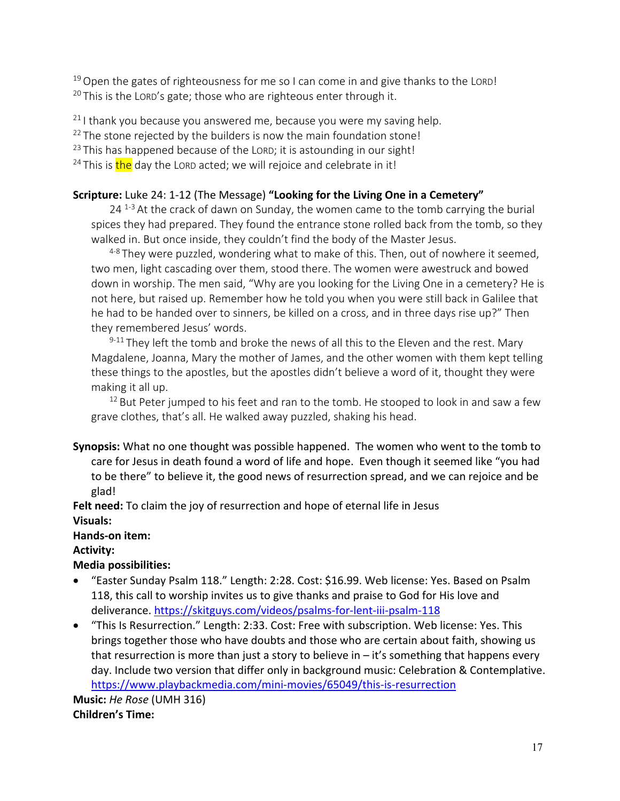$19$  Open the gates of righteousness for me so I can come in and give thanks to the LORD!  $20$  This is the LORD's gate; those who are righteous enter through it.

 $21$  I thank you because you answered me, because you were my saving help.

 $22$  The stone rejected by the builders is now the main foundation stone!

 $23$  This has happened because of the LORD; it is astounding in our sight!

<sup>24</sup> This is the day the LORD acted; we will rejoice and celebrate in it!

#### **Scripture:** Luke 24: 1-12 (The Message) **"Looking for the Living One in a Cemetery"**

 $24<sup>1-3</sup>$  At the crack of dawn on Sunday, the women came to the tomb carrying the burial spices they had prepared. They found the entrance stone rolled back from the tomb, so they walked in. But once inside, they couldn't find the body of the Master Jesus.

 $4-8$  They were puzzled, wondering what to make of this. Then, out of nowhere it seemed, two men, light cascading over them, stood there. The women were awestruck and bowed down in worship. The men said, "Why are you looking for the Living One in a cemetery? He is not here, but raised up. Remember how he told you when you were still back in Galilee that he had to be handed over to sinners, be killed on a cross, and in three days rise up?" Then they remembered Jesus' words.

 $9-11$  They left the tomb and broke the news of all this to the Eleven and the rest. Mary Magdalene, Joanna, Mary the mother of James, and the other women with them kept telling these things to the apostles, but the apostles didn't believe a word of it, thought they were making it all up.

 $12$  But Peter jumped to his feet and ran to the tomb. He stooped to look in and saw a few grave clothes, that's all. He walked away puzzled, shaking his head.

**Synopsis:** What no one thought was possible happened. The women who went to the tomb to care for Jesus in death found a word of life and hope. Even though it seemed like "you had to be there" to believe it, the good news of resurrection spread, and we can rejoice and be glad!

**Felt need:** To claim the joy of resurrection and hope of eternal life in Jesus

#### **Visuals:**

**Hands-on item:**

**Activity:**

#### **Media possibilities:**

- "Easter Sunday Psalm 118." Length: 2:28. Cost: \$16.99. Web license: Yes. Based on Psalm 118, this call to worship invites us to give thanks and praise to God for His love and deliverance. https://skitguys.com/videos/psalms-for-lent-iii-psalm-118
- "This Is Resurrection." Length: 2:33. Cost: Free with subscription. Web license: Yes. This brings together those who have doubts and those who are certain about faith, showing us that resurrection is more than just a story to believe in  $-$  it's something that happens every day. Include two version that differ only in background music: Celebration & Contemplative. https://www.playbackmedia.com/mini-movies/65049/this-is-resurrection

**Music:** *He Rose* (UMH 316) **Children's Time:**